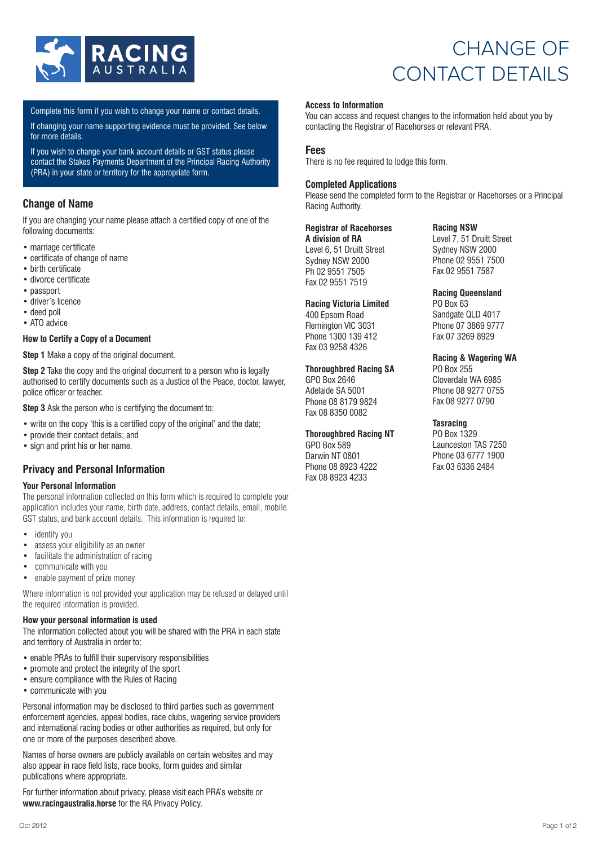

# CHANGE OF CONTACT DETAILS

Complete this form if you wish to change your name or contact details.

If changing your name supporting evidence must be provided. See below for more details.

If you wish to change your bank account details or GST status please contact the Stakes Payments Department of the Principal Racing Authority (PRA) in your state or territory for the appropriate form.

## **Change of Name**

If you are changing your name please attach a certified copy of one of the following documents:

- marriage certificate
- certificate of change of name
- birth certificate
- divorce certificate
- passport
- driver's licence
- deed poll • ATO advice
- 

### **How to Certify a Copy of a Document**

**Step 1** Make a copy of the original document.

**Step 2** Take the copy and the original document to a person who is legally authorised to certify documents such as a Justice of the Peace, doctor, lawyer, police officer or teacher.

**Step 3** Ask the person who is certifying the document to:

- write on the copy 'this is a certified copy of the original' and the date;
- provide their contact details; and
- sign and print his or her name.

### **Privacy and Personal Information**

#### **Your Personal Information**

The personal information collected on this form which is required to complete your application includes your name, birth date, address, contact details, email, mobile GST status, and bank account details. This information is required to:

- identify you
- assess your eligibility as an owner<br>• facilitate the administration of racis
- facilitate the administration of racing
- communicate with you
- enable payment of prize money

Where information is not provided your application may be refused or delayed until the required information is provided.

#### **How your personal information is used**

The information collected about you will be shared with the PRA in each state and territory of Australia in order to:

- enable PRAs to fulfill their supervisory responsibilities
- promote and protect the integrity of the sport
- ensure compliance with the Rules of Racing
- communicate with you

Personal information may be disclosed to third parties such as government enforcement agencies, appeal bodies, race clubs, wagering service providers and international racing bodies or other authorities as required, but only for one or more of the purposes described above.

Names of horse owners are publicly available on certain websites and may also appear in race field lists, race books, form guides and similar publications where appropriate.

For further information about privacy, please visit each PRA's website or **www.racingaustralia.horse** for the RA Privacy Policy.

You can access and request changes to the information held about you by contacting the Registrar of Racehorses or relevant PRA.

#### **Fees**

There is no fee required to lodge this form.

#### **Completed Applications**

Please send the completed form to the Registrar or Racehorses or a Principal Racing Authority.

#### **Registrar of Racehorses**

**A division of RA** Level 6, 51 Druitt Street Sydney NSW 2000 Ph 02 9551 7505 Fax 02 9551 7519

#### **Racing Victoria Limited**

400 Epsom Road Flemington VIC 3031 Phone 1300 139 412 Fax 03 9258 4326

#### **Thoroughbred Racing SA**

GPO Box 2646 Adelaide SA 5001 Phone 08 8179 9824 Fax 08 8350 0082

#### **Thoroughbred Racing NT**

GPO Box 589 Darwin NT 0801 Phone 08 8923 4222 Fax 08 8923 4233

**Racing NSW**

Level 7, 51 Druitt Street Sydney NSW 2000 Phone 02 9551 7500 Fax 02 9551 7587

#### **Racing Queensland**

PO Box 63 Sandgate QLD 4017 Phone 07 3869 9777 Fax 07 3269 8929

#### **Racing & Wagering WA**

PO Box 255 Cloverdale WA 6985 Phone 08 9277 0755 Fax 08 9277 0790

#### **Tasracing**

PO Box 1329 Launceston TAS 7250 Phone 03 6777 1900 Fax 03 6336 2484